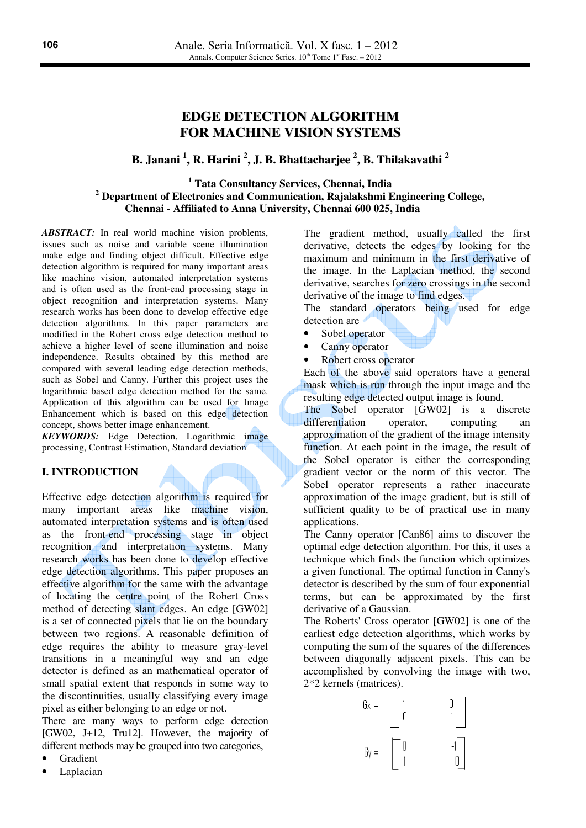# **EDGE DETECTION ALGORITHM FOR MACHINE VISION SYSTEMS**

# **B. Janani 1 , R. Harini 2 , J. B. Bhattacharjee 2 , B. Thilakavathi 2**

# **1 Tata Consultancy Services, Chennai, India 2 Department of Electronics and Communication, Rajalakshmi Engineering College, Chennai - Affiliated to Anna University, Chennai 600 025, India**

*ABSTRACT:* In real world machine vision problems, issues such as noise and variable scene illumination make edge and finding object difficult. Effective edge detection algorithm is required for many important areas like machine vision, automated interpretation systems and is often used as the front-end processing stage in object recognition and interpretation systems. Many research works has been done to develop effective edge detection algorithms. In this paper parameters are modified in the Robert cross edge detection method to achieve a higher level of scene illumination and noise independence. Results obtained by this method are compared with several leading edge detection methods, such as Sobel and Canny. Further this project uses the logarithmic based edge detection method for the same. Application of this algorithm can be used for Image Enhancement which is based on this edge detection concept, shows better image enhancement.

*KEYWORDS:* Edge Detection, Logarithmic image processing, Contrast Estimation, Standard deviation

# **I. INTRODUCTION**

Effective edge detection algorithm is required for many important areas like machine vision, automated interpretation systems and is often used as the front-end processing stage in object recognition and interpretation systems. Many research works has been done to develop effective edge detection algorithms. This paper proposes an effective algorithm for the same with the advantage of locating the centre point of the Robert Cross method of detecting slant edges. An edge [GW02] is a set of connected pixels that lie on the boundary between two regions. A reasonable definition of edge requires the ability to measure gray-level transitions in a meaningful way and an edge detector is defined as an mathematical operator of small spatial extent that responds in some way to the discontinuities, usually classifying every image pixel as either belonging to an edge or not.

There are many ways to perform edge detection [GW02, J+12, Tru12]. However, the majority of different methods may be grouped into two categories,

- Gradient
- Laplacian

The gradient method, usually called the first derivative, detects the edges by looking for the maximum and minimum in the first derivative of the image. In the Laplacian method, the second derivative, searches for zero crossings in the second derivative of the image to find edges.

The standard operators being used for edge detection are

- Sobel operator
- Canny operator
- Robert cross operator

Each of the above said operators have a general mask which is run through the input image and the resulting edge detected output image is found.

The Sobel operator [GW02] is a discrete differentiation operator, computing an approximation of the gradient of the image intensity function. At each point in the image, the result of the Sobel operator is either the corresponding gradient vector or the norm of this vector. The Sobel operator represents a rather inaccurate approximation of the image gradient, but is still of sufficient quality to be of practical use in many applications.

The Canny operator [Can86] aims to discover the optimal edge detection algorithm. For this, it uses a technique which finds the function which optimizes a given functional. The optimal function in Canny's detector is described by the sum of four exponential terms, but can be approximated by the first derivative of a Gaussian.

The Roberts' Cross operator [GW02] is one of the earliest edge detection algorithms, which works by computing the sum of the squares of the differences between diagonally adjacent pixels. This can be accomplished by convolving the image with two, 2\*2 kernels (matrices).

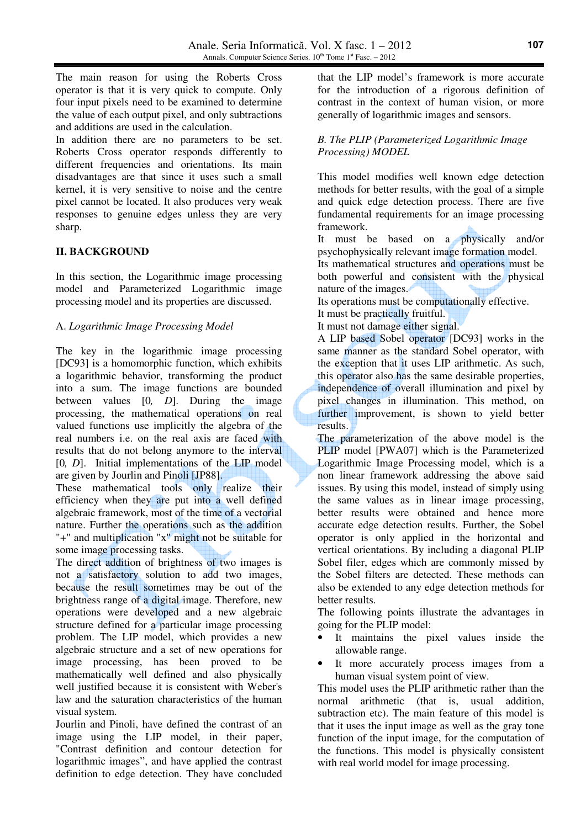The main reason for using the Roberts Cross operator is that it is very quick to compute. Only four input pixels need to be examined to determine the value of each output pixel, and only subtractions and additions are used in the calculation.

In addition there are no parameters to be set. Roberts Cross operator responds differently to different frequencies and orientations. Its main disadvantages are that since it uses such a small kernel, it is very sensitive to noise and the centre pixel cannot be located. It also produces very weak responses to genuine edges unless they are very sharp.

# **II. BACKGROUND**

In this section, the Logarithmic image processing model and Parameterized Logarithmic image processing model and its properties are discussed.

# A. *Logarithmic Image Processing Model*

The key in the logarithmic image processing [DC93] is a homomorphic function, which exhibits a logarithmic behavior, transforming the product into a sum. The image functions are bounded between values [0*, D*]. During the image processing, the mathematical operations on real valued functions use implicitly the algebra of the real numbers i.e. on the real axis are faced with results that do not belong anymore to the interval [0*, D*]. Initial implementations of the LIP model are given by Jourlin and Pinoli [JP88].

These mathematical tools only realize their efficiency when they are put into a well defined algebraic framework, most of the time of a vectorial nature. Further the operations such as the addition "+" and multiplication "x" might not be suitable for some image processing tasks.

The direct addition of brightness of two images is not a satisfactory solution to add two images, because the result sometimes may be out of the brightness range of a digital image. Therefore, new operations were developed and a new algebraic structure defined for a particular image processing problem. The LIP model, which provides a new algebraic structure and a set of new operations for image processing, has been proved to be mathematically well defined and also physically well justified because it is consistent with Weber's law and the saturation characteristics of the human visual system.

Jourlin and Pinoli, have defined the contrast of an image using the LIP model, in their paper, "Contrast definition and contour detection for logarithmic images", and have applied the contrast definition to edge detection. They have concluded

that the LIP model's framework is more accurate for the introduction of a rigorous definition of contrast in the context of human vision, or more generally of logarithmic images and sensors.

# *B. The PLIP (Parameterized Logarithmic Image Processing) MODEL*

This model modifies well known edge detection methods for better results, with the goal of a simple and quick edge detection process. There are five fundamental requirements for an image processing framework.

It must be based on a physically and/or psychophysically relevant image formation model.

Its mathematical structures and operations must be both powerful and consistent with the physical nature of the images.

Its operations must be computationally effective.

It must be practically fruitful.

It must not damage either signal.

A LIP based Sobel operator [DC93] works in the same manner as the standard Sobel operator, with the exception that it uses LIP arithmetic. As such, this operator also has the same desirable properties, independence of overall illumination and pixel by pixel changes in illumination. This method, on further improvement, is shown to yield better results.

The parameterization of the above model is the PLIP model [PWA07] which is the Parameterized Logarithmic Image Processing model, which is a non linear framework addressing the above said issues. By using this model, instead of simply using the same values as in linear image processing, better results were obtained and hence more accurate edge detection results. Further, the Sobel operator is only applied in the horizontal and vertical orientations. By including a diagonal PLIP Sobel filer, edges which are commonly missed by the Sobel filters are detected. These methods can also be extended to any edge detection methods for better results.

The following points illustrate the advantages in going for the PLIP model:

- It maintains the pixel values inside the allowable range.
- It more accurately process images from a human visual system point of view.

This model uses the PLIP arithmetic rather than the normal arithmetic (that is, usual addition, subtraction etc). The main feature of this model is that it uses the input image as well as the gray tone function of the input image, for the computation of the functions. This model is physically consistent with real world model for image processing.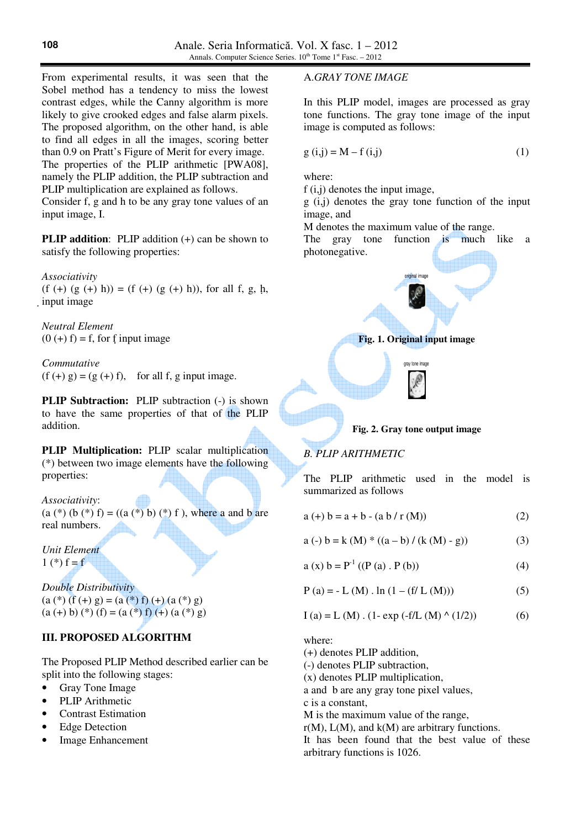From experimental results, it was seen that the Sobel method has a tendency to miss the lowest contrast edges, while the Canny algorithm is more likely to give crooked edges and false alarm pixels. The proposed algorithm, on the other hand, is able to find all edges in all the images, scoring better than 0.9 on Pratt's Figure of Merit for every image. The properties of the PLIP arithmetic [PWA08], namely the PLIP addition, the PLIP subtraction and PLIP multiplication are explained as follows. Consider f, g and h to be any gray tone values of an input image, I.

**PLIP addition:** PLIP addition (+) can be shown to satisfy the following properties:

*Associativity* 

(f (+) (g (+) h)) = (f (+) (g (+) h)), for all f, g, h, input image

*Neutral Element*   $(0 (+) f) = f$ , for f input image

*Commutative*   $(f (+) g) = (g (+) f)$ , for all f, g input image.

**PLIP Subtraction:** PLIP subtraction (-) is shown to have the same properties of that of the PLIP addition.

**PLIP Multiplication:** PLIP scalar multiplication (\*) between two image elements have the following properties:

*Associativity*:  $(a (*) (b (*) f) = ((a (*) b) (*) f)$ , where a and b are real numbers.

*Unit Element*   $1 (*) f = f$ 

*Double Distributivity*   $(a (*) (f (+) g) = (a (*) f) (+) (a (*) g)$  $(a (+) b) (*) (f) = (a (*) f) (+) (a (*) g)$ 

# **III. PROPOSED ALGORITHM**

The Proposed PLIP Method described earlier can be split into the following stages:

- Gray Tone Image
- PLIP Arithmetic
- Contrast Estimation
- Edge Detection
- Image Enhancement

#### A.*GRAY TONE IMAGE*

In this PLIP model, images are processed as gray tone functions. The gray tone image of the input image is computed as follows:

$$
g(i,j) = M - f(i,j)
$$
 (1)

where:

f (i,j) denotes the input image,

g (i,j) denotes the gray tone function of the input image, and

M denotes the maximum value of the range.

The gray tone function is much like a photonegative.





# *B. PLIP ARITHMETIC*

The PLIP arithmetic used in the model is summarized as follows

$$
a (+) b = a + b - (a b / r (M))
$$
 (2)

$$
a(-) b = k (M) * ((a - b) / (k (M) - g))
$$
 (3)

$$
a(x) b = P-1 ((P (a) . P (b))
$$
 (4)

$$
P(a) = -L(M) \cdot \ln(1 - (f/L(M)))
$$
 (5)

$$
I (a) = L (M) . (1 - exp (-f/L (M) ^ (1/2))
$$
 (6)

where:

f

(+) denotes PLIP addition,

(-) denotes PLIP subtraction,

(x) denotes PLIP multiplication,

a and b are any gray tone pixel values,

c is a constant,

M is the maximum value of the range,

 $r(M)$ ,  $L(M)$ , and  $k(M)$  are arbitrary functions.

It has been found that the best value of these arbitrary functions is 1026.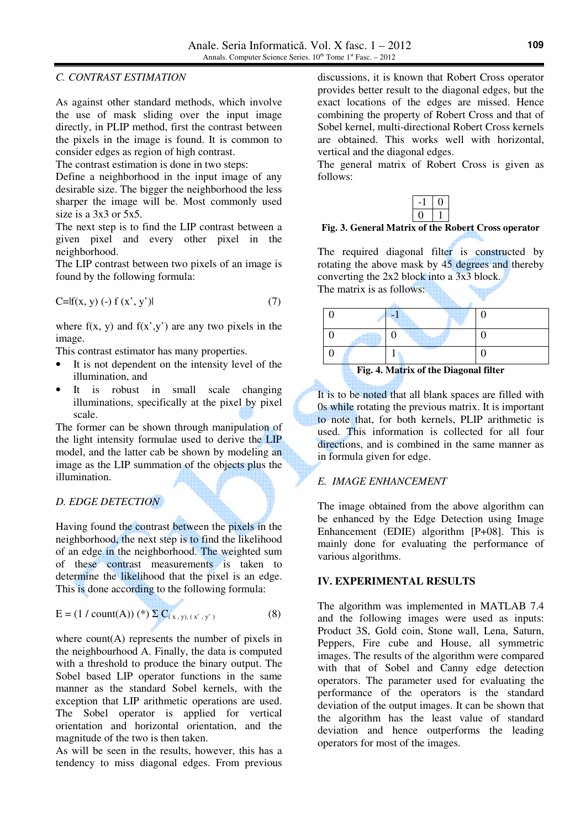#### *C. CONTRAST ESTIMATION*

As against other standard methods, which involve the use of mask sliding over the input image directly, in PLIP method, first the contrast between the pixels in the image is found. It is common to consider edges as region of high contrast.

The contrast estimation is done in two steps:

Define a neighborhood in the input image of any desirable size. The bigger the neighborhood the less sharper the image will be. Most commonly used size is a 3x3 or 5x5.

The next step is to find the LIP contrast between a given pixel and every other pixel in the neighborhood.

The LIP contrast between two pixels of an image is found by the following formula:

$$
C=If(x, y) (-) f(x', y')|
$$
 (7)

where  $f(x, y)$  and  $f(x', y')$  are any two pixels in the image.

This contrast estimator has many properties.

- It is not dependent on the intensity level of the illumination, and
- It is robust in small scale changing illuminations, specifically at the pixel by pixel scale.

The former can be shown through manipulation of the light intensity formulae used to derive the LIP model, and the latter cab be shown by modeling an image as the LIP summation of the objects plus the illumination.

### *D. EDGE DETECTION*

Having found the contrast between the pixels in the neighborhood, the next step is to find the likelihood of an edge in the neighborhood. The weighted sum of these contrast measurements is taken to determine the likelihood that the pixel is an edge. This is done according to the following formula:

$$
E = (1 / count(A)) (*) \sum C_{(x, y), (x', y')} \tag{8}
$$

where  $count(A)$  represents the number of pixels in the neighbourhood A. Finally, the data is computed with a threshold to produce the binary output. The Sobel based LIP operator functions in the same manner as the standard Sobel kernels, with the exception that LIP arithmetic operations are used. The Sobel operator is applied for vertical orientation and horizontal orientation, and the magnitude of the two is then taken.

As will be seen in the results, however, this has a tendency to miss diagonal edges. From previous

discussions, it is known that Robert Cross operator provides better result to the diagonal edges, but the exact locations of the edges are missed. Hence combining the property of Robert Cross and that of Sobel kernel, multi-directional Robert Cross kernels are obtained. This works well with horizontal, vertical and the diagonal edges.

The general matrix of Robert Cross is given as follows:



**Fig. 3. General Matrix of the Robert Cross operator**

The required diagonal filter is constructed by rotating the above mask by 45 degrees and thereby converting the 2x2 block into a 3x3 block. The matrix is as follows:

| Fig. 4. Matrix of the Diagonal filter |  |  |  |  |
|---------------------------------------|--|--|--|--|

It is to be noted that all blank spaces are filled with 0s while rotating the previous matrix. It is important to note that, for both kernels, PLIP arithmetic is used. This information is collected for all four directions, and is combined in the same manner as in formula given for edge.

# *E. IMAGE ENHANCEMENT*

The image obtained from the above algorithm can be enhanced by the Edge Detection using Image Enhancement (EDIE) algorithm [P+08]. This is mainly done for evaluating the performance of various algorithms.

#### **IV. EXPERIMENTAL RESULTS**

The algorithm was implemented in MATLAB 7.4 and the following images were used as inputs: Product 3S, Gold coin, Stone wall, Lena, Saturn, Peppers, Fire cube and House, all symmetric images. The results of the algorithm were compared with that of Sobel and Canny edge detection operators. The parameter used for evaluating the performance of the operators is the standard deviation of the output images. It can be shown that the algorithm has the least value of standard deviation and hence outperforms the leading operators for most of the images.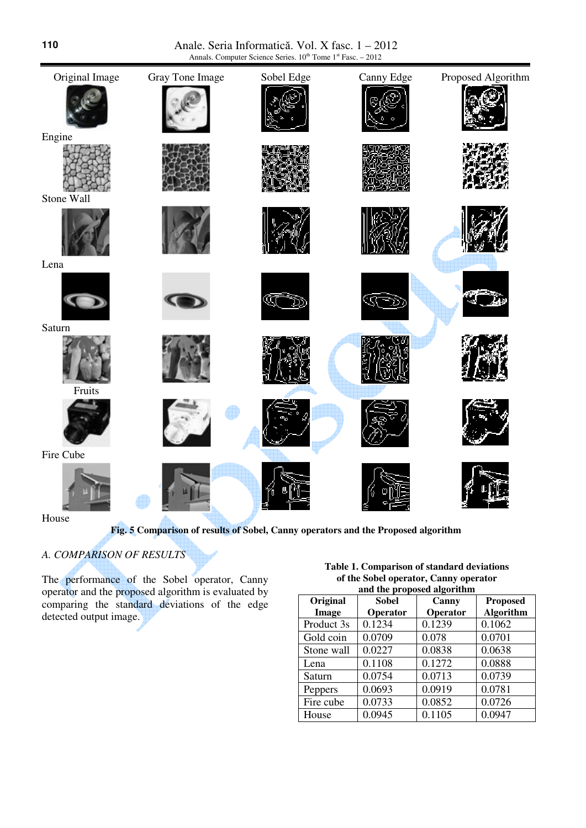Anale. Seria Informatică. Vol. X fasc. 1 – 2012 Annals. Computer Science Series.  $10^{th}$  Tome  $1^{st}$  Fasc. -  $2012$ 



**Fig. 5 Comparison of results of Sobel, Canny operators and the Proposed algorithm**

# *A. COMPARISON OF RESULTS*

The performance of the Sobel operator, Canny operator and the proposed algorithm is evaluated by comparing the standard deviations of the edge detected output image.

**Table 1. Comparison of standard deviations of the Sobel operator, Canny operator and the proposed algorithm**

| $\frac{1}{2}$ and $\frac{1}{2}$ and $\frac{1}{2}$ and $\frac{1}{2}$ |              |          |                  |  |  |
|---------------------------------------------------------------------|--------------|----------|------------------|--|--|
| Original                                                            | <b>Sobel</b> | Canny    | <b>Proposed</b>  |  |  |
| Image                                                               | Operator     | Operator | <b>Algorithm</b> |  |  |
| Product 3s                                                          | 0.1234       | 0.1239   | 0.1062           |  |  |
| Gold coin                                                           | 0.0709       | 0.078    | 0.0701           |  |  |
| Stone wall                                                          | 0.0227       | 0.0838   | 0.0638           |  |  |
| Lena                                                                | 0.1108       | 0.1272   | 0.0888           |  |  |
| Saturn                                                              | 0.0754       | 0.0713   | 0.0739           |  |  |
| Peppers                                                             | 0.0693       | 0.0919   | 0.0781           |  |  |
| Fire cube                                                           | 0.0733       | 0.0852   | 0.0726           |  |  |
| House                                                               | 0.0945       | 0.1105   | 0.0947           |  |  |